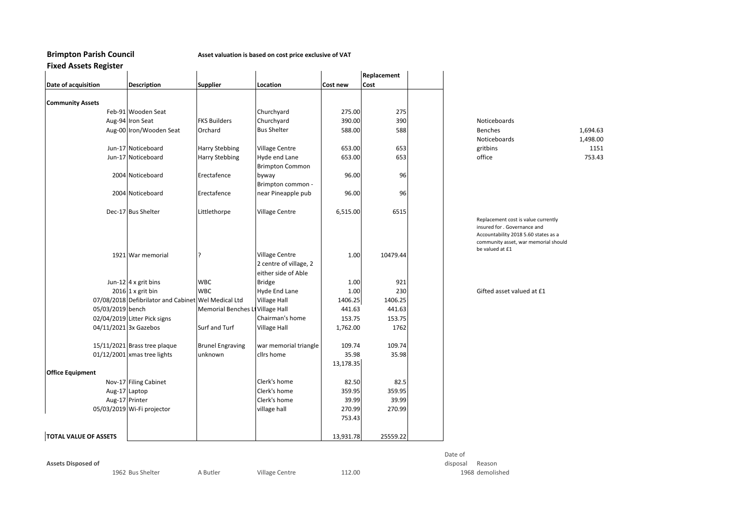## **Brimpton Parish Council Asset valuation is based on cost price exclusive of VAT**

## **Fixed Assets Register**

|                              |                                                     |                                  |                        |                  | Replacement |          |                                                         |          |
|------------------------------|-----------------------------------------------------|----------------------------------|------------------------|------------------|-------------|----------|---------------------------------------------------------|----------|
| Date of acquisition          | <b>Description</b>                                  | <b>Supplier</b>                  | Location               | Cost new         | Cost        |          |                                                         |          |
|                              |                                                     |                                  |                        |                  |             |          |                                                         |          |
| <b>Community Assets</b>      | Feb-91 Wooden Seat                                  |                                  | Churchyard             |                  | 275         |          |                                                         |          |
|                              | Aug-94 Iron Seat                                    | <b>FKS Builders</b>              | Churchyard             | 275.00<br>390.00 | 390         |          | Noticeboards                                            |          |
|                              | Aug-00 Iron/Wooden Seat                             | Orchard                          | <b>Bus Shelter</b>     | 588.00           | 588         |          | <b>Benches</b>                                          | 1,694.63 |
|                              |                                                     |                                  |                        |                  |             |          | Noticeboards                                            | 1,498.00 |
|                              | Jun-17 Noticeboard                                  | <b>Harry Stebbing</b>            | <b>Village Centre</b>  | 653.00           | 653         |          | gritbins                                                | 1151     |
|                              | Jun-17 Noticeboard                                  | Harry Stebbing                   | Hyde end Lane          | 653.00           | 653         |          | office                                                  | 753.43   |
|                              |                                                     |                                  | <b>Brimpton Common</b> |                  |             |          |                                                         |          |
|                              | 2004 Noticeboard                                    | Erectafence                      | byway                  | 96.00            | 96          |          |                                                         |          |
|                              |                                                     |                                  | Brimpton common -      |                  |             |          |                                                         |          |
|                              | 2004 Noticeboard                                    | Erectafence                      | near Pineapple pub     | 96.00            | 96          |          |                                                         |          |
|                              | Dec-17 Bus Shelter                                  | Littlethorpe                     | <b>Village Centre</b>  | 6,515.00         | 6515        |          |                                                         |          |
|                              |                                                     |                                  |                        |                  |             |          | Replacement cost is value currently                     |          |
|                              |                                                     |                                  |                        |                  |             |          | insured for . Governance and                            |          |
|                              |                                                     |                                  |                        |                  |             |          | Accountability 2018 5.60 states as a                    |          |
|                              |                                                     |                                  |                        |                  |             |          | community asset, war memorial should<br>be valued at £1 |          |
|                              | 1921 War memorial                                   | ς                                | <b>Village Centre</b>  | 1.00             | 10479.44    |          |                                                         |          |
|                              |                                                     |                                  | 2 centre of village, 2 |                  |             |          |                                                         |          |
|                              |                                                     |                                  | either side of Able    |                  |             |          |                                                         |          |
|                              | Jun-12 4 x grit bins                                | <b>WBC</b>                       | <b>Bridge</b>          | 1.00             | 921         |          |                                                         |          |
|                              | $2016$ 1 x grit bin                                 | <b>WBC</b>                       | <b>Hyde End Lane</b>   | 1.00             | 230         |          | Gifted asset valued at £1                               |          |
|                              | 07/08/2018 Defibrilator and Cabinet Wel Medical Ltd |                                  | <b>Village Hall</b>    | 1406.25          | 1406.25     |          |                                                         |          |
| 05/03/2019 bench             |                                                     | Memorial Benches Li Village Hall |                        | 441.63           | 441.63      |          |                                                         |          |
|                              | 02/04/2019 Litter Pick signs                        |                                  | Chairman's home        | 153.75           | 153.75      |          |                                                         |          |
|                              | 04/11/2021 3x Gazebos                               | Surf and Turf                    | <b>Village Hall</b>    | 1,762.00         | 1762        |          |                                                         |          |
|                              | 15/11/2021 Brass tree plaque                        | <b>Brunel Engraving</b>          | war memorial triangle  | 109.74           | 109.74      |          |                                                         |          |
|                              | 01/12/2001 xmas tree lights                         | unknown                          | cllrs home             | 35.98            | 35.98       |          |                                                         |          |
|                              |                                                     |                                  |                        | 13,178.35        |             |          |                                                         |          |
| <b>Office Equipment</b>      |                                                     |                                  |                        |                  |             |          |                                                         |          |
|                              | Nov-17 Filing Cabinet                               |                                  | Clerk's home           | 82.50            | 82.5        |          |                                                         |          |
|                              | Aug-17 Laptop                                       |                                  | Clerk's home           | 359.95           | 359.95      |          |                                                         |          |
|                              | Aug-17 Printer                                      |                                  | Clerk's home           | 39.99            | 39.99       |          |                                                         |          |
|                              | 05/03/2019 Wi-Fi projector                          |                                  | village hall           | 270.99           | 270.99      |          |                                                         |          |
|                              |                                                     |                                  |                        | 753.43           |             |          |                                                         |          |
| <b>TOTAL VALUE OF ASSETS</b> |                                                     |                                  |                        | 13,931.78        | 25559.22    |          |                                                         |          |
|                              |                                                     |                                  |                        |                  |             |          |                                                         |          |
|                              |                                                     |                                  |                        |                  |             | Date of  |                                                         |          |
| <b>Assets Disposed of</b>    |                                                     |                                  |                        |                  |             | disposal | Reason                                                  |          |

 $1,498.00$ <br> $1151$ 

|                  |          |                       |        | Date of            |
|------------------|----------|-----------------------|--------|--------------------|
|                  |          |                       |        | Reason<br>disposal |
| 1962 Bus Shelter | A Butler | <b>Village Centre</b> | 112.00 | 1968 demolished    |